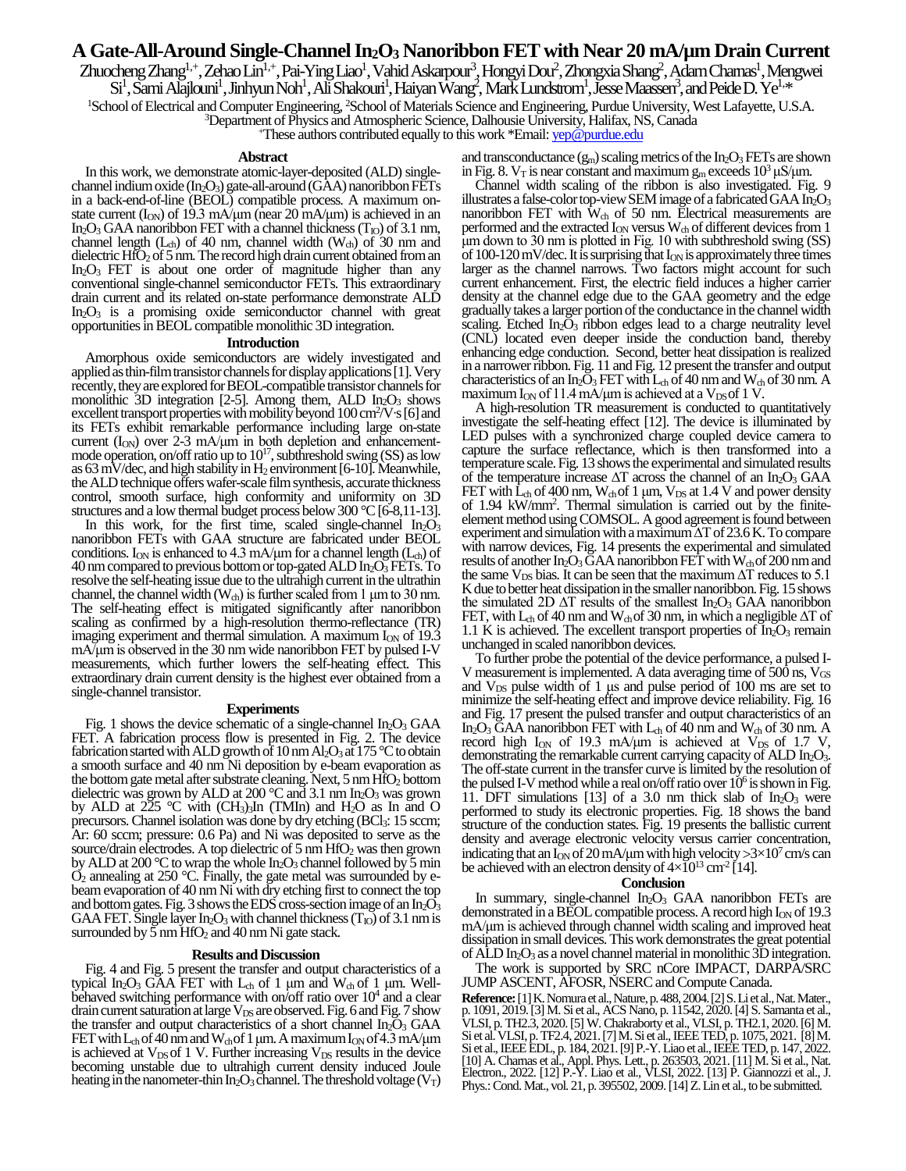# **A Gate-All-Around Single-Channel In2O<sup>3</sup> Nanoribbon FET with Near 20 mA/µm Drain Current**

Zhuocheng Zhang<sup>1,+</sup>, Zehao Lin<sup>1,+</sup>, Pai-Ying Liao<sup>1</sup>, Vahid Askarpour<sup>3</sup>, Hongyi Dou<sup>2</sup>, Zhongxia Shang<sup>2</sup>, Adam Charnas<sup>1</sup>, Mengwei

Si<sup>1</sup>, Sami Alajlouni<sup>1</sup>, Jinhyun Noh<sup>1</sup>, Ali Shakoun<sup>1</sup>, Haiyan Wang<sup>2</sup>, Mark Lundstrom<sup>1</sup>, Jesse Maassen<sup>3</sup>, and Peide D. Ye<sup>1,\*</sup>

<sup>1</sup>School of Electrical and Computer Engineering, <sup>2</sup>School of Materials Science and Engineering, Purdue University, West Lafayette, U.S.A.

<sup>3</sup>Department of Physics and Atmospheric Science, Dalhousie University, Halifax, NS, Canada

<sup>+</sup>These authors contributed equally to this work \*Email: *yep@purdue.edu* 

## **Abstract**

In this work, we demonstrate atomic-layer-deposited (ALD) singlechannel indium oxide  $(In_2O_3)$  gate-all-around  $(G\overline{A}A)$  nanoribbon FETs in a back-end-of-line (BEOL) compatible process. A maximum onstate current  $(I_{ON})$  of 19.3 mA/μm (near 20 mA/μm) is achieved in an In<sub>2</sub>O<sub>3</sub> GAA nanoribbon FET with a channel thickness  $(T_{\text{IO}})$  of 3.1 nm, channel length ( $L_{ch}$ ) of 40 nm, channel width ( $W_{ch}$ ) of 30 nm and dielectric  $HfO<sub>2</sub>$  of 5 nm. The record high drain current obtained from an  $In_2O_3$  FET is about one order of magnitude higher than any conventional single-channel semiconductor FETs. This extraordinary drain current and its related on-state performance demonstrate ALD  $In_2O_3$  is a promising oxide semiconductor channel with great opportunitiesin BEOL compatible monolithic 3D integration.

### **Introduction**

Amorphous oxide semiconductors are widely investigated and applied as thin-film transistor channels for display applications [1]. Very recently, they are explored for BEOL-compatible transistor channels for monolithic 3D integration [2-5]. Among them, ALD  $In_2O_3$  shows excellent transport properties with mobility beyond 100 cm<sup>2</sup>/V·s [6] and its FETs exhibit remarkable performance including large on-state current  $(I_{ON})$  over 2-3 mA/μm in both depletion and enhancementmode operation, on/off ratio up to  $10^{17}$ , subthreshold swing (SS) as low as 63 mV/dec, and high stability in  $H_2$  environment [6-10]. Meanwhile, the ALD technique offers wafer-scale film synthesis, accurate thickness control, smooth surface, high conformity and uniformity on 3D structures and a low thermal budget process below  $300^{\circ}$ C [6-8,11-13].

In this work, for the first time, scaled single-channel  $In_2O_3$ nanoribbon FETs with GAA structure are fabricated under BEOL conditions. I<sub>ON</sub> is enhanced to 4.3 mA/ $\mu$ m for a channel length (L<sub>ch</sub>) of 40 nm compared to previous bottom or top-gated ALD  $In_2O<sub>3</sub>FETs.$  To resolve the self-heating issue due to the ultrahigh current in the ultrathin channel, the channel width  $(W_{ch})$  is further scaled from 1  $\mu$ m to 30 nm. The self-heating effect is mitigated significantly after nanoribbon scaling as confirmed by a high-resolution thermo-reflectance (TR) imaging experiment and thermal simulation. A maximum  $I_{ON}$  of 19.3 mA/μm is observed in the 30 nm wide nanoribbon FET by pulsed I-V measurements, which further lowers the self-heating effect. This extraordinary drain current density is the highest ever obtained from a single-channel transistor.

#### **Experiments**

Fig. 1 shows the device schematic of a single-channel  $In_2O_3$  GAA FET. A fabrication process flow is presented in Fig. 2. The device fabrication started with ALD growth of 10 nm Al<sub>2</sub>O<sub>3</sub> at 175 °C to obtain a smooth surface and 40 nm Ni deposition by e-beam evaporation as the bottom gate metal after substrate cleaning. Next,  $5 \text{ nm} HfO_2$  bottom dielectric was grown by ALD at 200  $^{\circ}$ C and 3.1 nm In<sub>2</sub>O<sub>3</sub> was grown by ALD at  $225$  °C with (CH<sub>3</sub>)<sub>3</sub>In (TMIn) and H<sub>2</sub>O as In and O precursors. Channel isolation was done by dry etching (BCl<sub>3</sub>: 15 sccm; Ar: 60 sccm; pressure: 0.6 Pa) and Ni was deposited to serve as the source/drain electrodes. A top dielectric of  $5 \text{ nm HfO}_2$  was then grown by ALD at 200  $\degree$ C to wrap the whole In<sub>2</sub>O<sub>3</sub> channel followed by 5 min  $O_2$  annealing at 250 °C. Finally, the gate metal was surrounded by ebeam evaporation of 40 nm Ni with dry etching first to connect the top and bottom gates. Fig. 3 shows the EDS cross-section image of an  $In_2O_3$ GAA FET. Single layer In<sub>2</sub>O<sub>3</sub> with channel thickness  $(T_{10})$  of 3.1 nm is surrounded by  $\bar{5}$  nm  $\overline{HfO_2}$  and 40 nm Ni gate stack.

## **Results and Discussion**

Fig. 4 and Fig. 5 present the transfer and output characteristics of a typical In<sub>2</sub>O<sub>3</sub> GAA FET with L<sub>ch</sub> of 1 μm and W<sub>ch</sub> of 1 μm. Wellbehaved switching performance with on/off ratio over  $10<sup>4</sup>$  and a clear drain current saturation at large  $V_{DS}$  are observed. Fig. 6 and Fig. 7 show the transfer and output characteristics of a short channel  $In<sub>2</sub>O<sub>3</sub> GAA$ FET with  $L_{ch}$  of 40 nm and  $W_{ch}$  of 1 µm. A maximum  $I_{ON}$  of 4.3 mA/µm is achieved at  $V_{DS}$  of 1 V. Further increasing  $V_{DS}$  results in the device becoming unstable due to ultrahigh current density induced Joule heating in the nanometer-thin In<sub>2</sub>O<sub>3</sub> channel. The threshold voltage ( $V_T$ )

and transconductance  $(g_m)$  scaling metrics of the In<sub>2</sub>O<sub>3</sub> FETs are shown in Fig. 8.  $V_T$  is near constant and maximum g<sub>m</sub> exceeds  $10^3 \mu S/\mu m$ .

Channel width scaling of the ribbon is also investigated. Fig. 9 illustrates a false-color top-view SEM image of a fabricated GAA  $In_2O_3$ nanoribbon FET with  $\rm \tilde{W}_{ch}$  of 50 nm. Electrical measurements are performed and the extracted  $I_{ON}$  versus  $W_{ch}$  of different devices from 1 μm down to 30 nm is plotted in Fig. 10 with subthreshold swing (SS) of  $100-120$  mV/dec. It is surprising that  $I_{ON}$  is approximately three times larger as the channel narrows. Two factors might account for such current enhancement. First, the electric field induces a higher carrier density at the channel edge due to the GAA geometry and the edge gradually takes a larger portion of the conductance in the channel width scaling. Etched  $In<sub>2</sub>O<sub>3</sub>$  ribbon edges lead to a charge neutrality level (CNL) located even deeper inside the conduction band, thereby enhancing edge conduction. Second, better heat dissipation is realized in a narrower ribbon. Fig. 11 and Fig. 12 present the transfer and output characteristics of an In<sub>2</sub>O<sub>3</sub> FET with L<sub>ch</sub> of 40 nm and W<sub>ch</sub> of 30 nm. A maximum I<sub>ON</sub> of 11.4 mA/μm is achieved at a V<sub>DS</sub> of 1 V.

A high-resolution TR measurement is conducted to quantitatively investigate the self-heating effect [12]. The device is illuminated by LED pulses with a synchronized charge coupled device camera to capture the surface reflectance, which is then transformed into a temperature scale. Fig. 13 shows the experimental and simulated results of the temperature increase ∆T across the channel of an In2O<sup>3</sup> GAA FET with  $\hat{\mathbf{L}}_{ch}$  of 400 nm,  $\mathbf{W}_{ch}$  of 1 µm,  $\mathbf{V}_{DS}$  at 1.4 V and power density of 1.94 kW/mm<sup>2</sup> . Thermal simulation is carried out by the finiteelement method usingCOMSOL. A good agreement is found between experiment and simulation with a maximum∆T of 23.6 K. To compare with narrow devices, Fig. 14 presents the experimental and simulated results of another  $In_2O_3$  GAA nanoribbon FET with  $W_{ch}$  of 200 nm and the same  $V_{DS}$  bias. It can be seen that the maximum  $\Delta T$  reduces to 5.1 K due to better heat dissipation in the smaller nanoribbon. Fig. 15 shows the simulated 2D  $\Delta T$  results of the smallest In<sub>2</sub>O<sub>3</sub> GAA nanoribbon FET, with L<sub>ch</sub> of 40 nm and W<sub>ch</sub> of 30 nm, in which a negligible  $\Delta T$  of 1.1 K is achieved. The excellent transport properties of  $In_2O_3$  remain unchanged in scaled nanoribbon devices.

To further probe the potential of the device performance, a pulsed I-V measurement is implemented. A data averaging time of 500 ns,  $V_{GS}$ and  $V_{DS}$  pulse width of 1 μs and pulse period of 100 ms are set to minimize the self-heating effect and improve device reliability. Fig. 16 and Fig. 17 present the pulsed transfer and output characteristics of an In<sub>2</sub>O<sub>3</sub> GAA nanoribbon FET with  $L_{ch}$  of 40 nm and  $W_{ch}$  of 30 nm. A record high I<sub>ON</sub> of 19.3 mA/μm is achieved at  $V_{DS}$  of 1.7 V, demonstrating the remarkable current carrying capacity of  $\text{ALD}$  In<sub>2</sub>O<sub>3</sub>. The off-state current in the transfer curve is limited by the resolution of the pulsed I-V method while a real on/off ratio over  $10<sup>6</sup>$  is shown in Fig. 11. DFT simulations [13] of a 3.0 nm thick slab of  $In_2O_3$  were performed to study its electronic properties. Fig. 18 shows the band structure of the conduction states. Fig. 19 presents the ballistic current density and average electronic velocity versus carrier concentration, indicating that an  $I_{ON}$  of 20 mA/µm with high velocity >3×10<sup>7</sup> cm/s can be achieved with an electron density of  $4\times 10^{13}$  cm<sup>-2</sup> [14].

## **Conclusion**

In summary, single-channel  $In_2O_3$  GAA nanoribbon FETs are demonstrated in a BEOL compatible process. A record high  $I_{ON}$  of 19.3 mA/μm is achieved through channel width scaling and improved heat dissipation in small devices. This work demonstrates the great potential of ALD  $In_2O_3$  as a novel channel material in monolithic 3D integration.

The work is supported by SRC nCore IMPACT, DARPA/SRC JUMP ASCENT, AFOSR, NSERC and Compute Canada.

**Reference:**[1] K. Nomuraet al., Nature, p. 488, 2004. [2] S. Li et al., Nat.Mater., p. 1091, 2019. [3] M. Si et al., ACS Nano, p. 11542, 2020. [4] S. Samanta et al., VLSI, p. TH2.3, 2020. [5] W. Chakraborty et al., VLSI, p. TH2.1, 2020.[6] M. Si et al. VLSI, p. TF2.4, 2021.[7] M. Si et al., IEEE TED, p. 1075, 2021. [8]M. Si et al., IEEE EDL, p. 184, 2021.[9] P.-Y. Liao et al., IEEE TED, p. 147, 2022. [10] A. Charnas et al., Appl. Phys. Lett., p. 263503, 2021.[11] M. Si et al., Nat. Electron., 2022. [12] P.-Y. Liao et al., VLSI, 2022. [13] P. Giannozzi et al., J. Phys.: Cond. Mat., vol. 21, p. 395502, 2009. [14] Z. Lin et al., to be submitted.